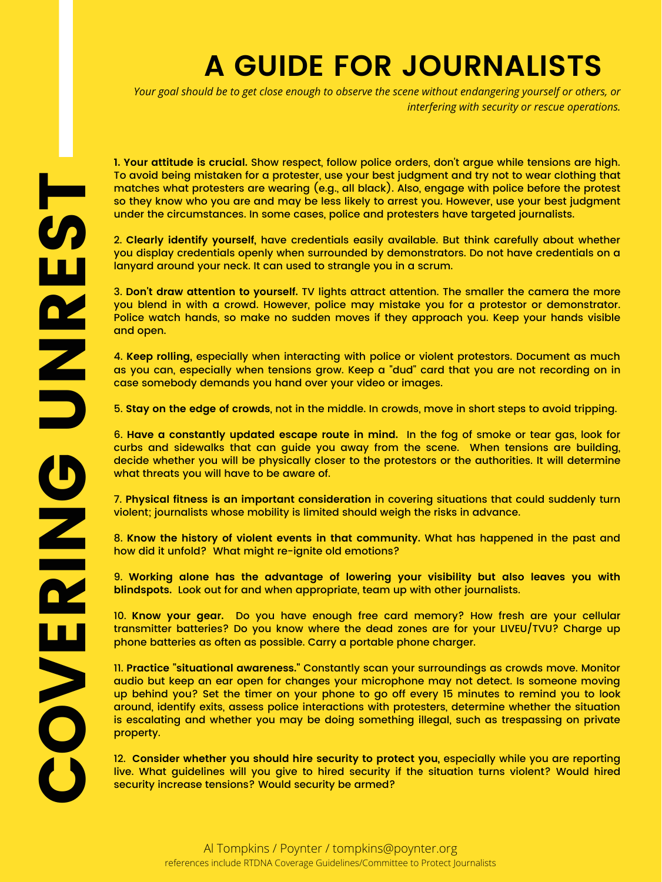**U** 

N

R

E

**S** 

ta<br>Tanzania

 under the circumstances. In some cases, police and protesters have targeted journalists. **1. Your attitude is crucial.** Show respect, follow police orders, don't argue while tensions are high. To avoid being mistaken for a protester, use your best judgment and try not to wear clothing that matches what protesters are wearing (e.g., all black). Also, engage with police before the protest so they know who you are and may be less likely to arrest you. However, use your best judgment

 you display credentials openly when surrounded by demonstrators. Do not have credentials on a 2. **Clearly identify yourself,** have credentials easily available. But think carefully about whether lanyard around your neck. It can used to strangle you in a scrum.

 and open. 3. **Don't draw attention to yourself.** TV lights attract attention. The smaller the camera the more you blend in with a crowd. However, police may mistake you for a protestor or demonstrator. Police watch hands, so make no sudden moves if they approach you. Keep your hands visible

 case somebody demands you hand over your video or images. 4. **Keep rolling,** especially when interacting with police or violent protestors. Document as much as you can, especially when tensions grow. Keep a "dud" card that you are not recording on in

 6. **Have a constantly updated escape route in mind.** In the fog of smoke or tear gas, look for curbs and sidewalks that can guide you away from the scene. When tensions are building, decide whether you will be physically closer to the protestors or the authorities. It will determine what threats you will have to be aware of.

 7. **Physical fitness is an important consideration** in covering situations that could suddenly turn violent; journalists whose mobility is limited should weigh the risks in advance.

 how did it unfold? What might re-ignite old emotions? 8. **Know the history of violent events in that community.** What has happened in the past and

 9. **Working alone has the advantage of lowering your visibility but also leaves you with blindspots.** Look out for and when appropriate, team up with other journalists.

 10. **Know your gear.** Do you have enough free card memory? How fresh are your cellular transmitter batteries? Do you know where the dead zones are for your LIVEU/TVU? Charge up phone batteries as often as possible. Carry a portable phone charger.

5. **Stay on the edge of crowds**, not in the middle. In crowds, move in short steps to avoid tripping.

 around, identify exits, assess police interactions with protesters, determine whether the situation 11. **Practice "situational awareness."** Constantly scan your surroundings as crowds move. Monitor audio but keep an ear open for changes your microphone may not detect. Is someone moving up behind you? Set the timer on your phone to go off every 15 minutes to remind you to look is escalating and whether you may be doing something illegal, such as trespassing on private property.

 12. **Consider whether you should hire security to protect you,** especially while you are reporting live. What guidelines will you give to hired security if the situation turns violent? Would hired security increase tensions? Would security be armed?

Your goal should be to get close enough to observe the scene without endangering yourself or others, or *interfering with security or rescue operations.*

## **A GUIDE FOR JOURNALISTS**